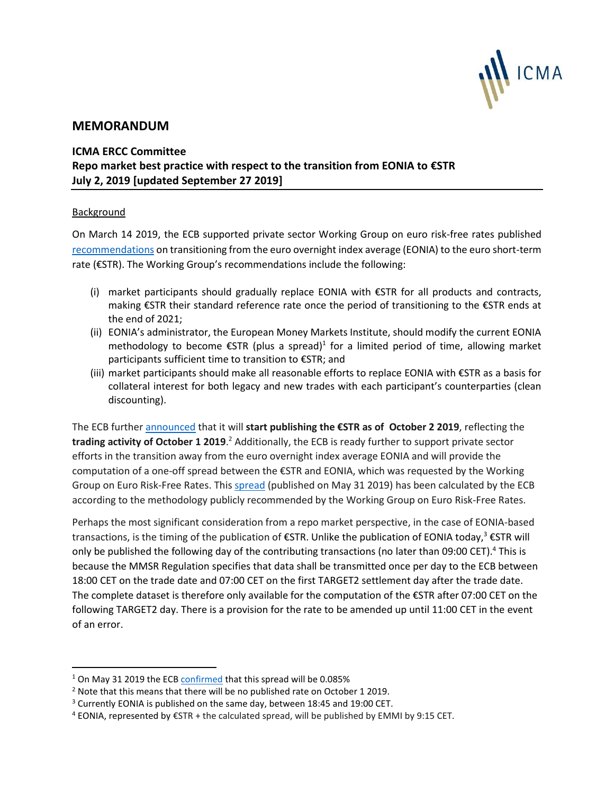

# **MEMORANDUM**

# **ICMA ERCC Committee Repo market best practice with respect to the transition from EONIA to €STR July 2, 2019 [updated September 27 2019]**

## Background

l

On March 14 2019, the ECB supported private sector Working Group on euro risk-free rates published [recommendations](https://www.ecb.europa.eu/pub/pdf/annex/ecb.sp190314_annex_recommendation.en.pdf) on transitioning from the euro overnight index average (EONIA) to the euro short-term rate (€STR). The Working Group's recommendations include the following:

- (i) market participants should gradually replace EONIA with €STR for all products and contracts, making €STR their standard reference rate once the period of transitioning to the €STR ends at the end of 2021;
- (ii) EONIA's administrator, the European Money Markets Institute, should modify the current EONIA methodology to become  $\epsilon$ STR (plus a spread)<sup>1</sup> for a limited period of time, allowing market participants sufficient time to transition to €STR; and
- (iii) market participants should make all reasonable efforts to replace EONIA with €STR as a basis for collateral interest for both legacy and new trades with each participant's counterparties (clean discounting).

The ECB further [announced](https://www.ecb.europa.eu/press/pr/date/2019/html/ecb.pr190314~28790a71ef.en.html) that it will **start publishing the €STR as of October 2 2019**, reflecting the **trading activity of October 1 2019**. <sup>2</sup> Additionally, the ECB is ready further to support private sector efforts in the transition away from the euro overnight index average EONIA and will provide the computation of a one-off spread between the €STR and EONIA, which was requested by the Working Group on Euro Risk-Free Rates. This [spread](https://www.ecb.europa.eu/press/pr/date/2019/html/ecb.pr190531~a3788de8f8.en.html) (published on May 31 2019) has been calculated by the ECB according to the methodology publicly recommended by the Working Group on Euro Risk-Free Rates.

Perhaps the most significant consideration from a repo market perspective, in the case of EONIA-based transactions, is the timing of the publication of  $\epsilon$ STR. Unlike the publication of EONIA today,<sup>3</sup>  $\epsilon$ STR will only be published the following day of the contributing transactions (no later than 09:00 CET).<sup>4</sup> This is because the MMSR Regulation specifies that data shall be transmitted once per day to the ECB between 18:00 CET on the trade date and 07:00 CET on the first TARGET2 settlement day after the trade date. The complete dataset is therefore only available for the computation of the €STR after 07:00 CET on the following TARGET2 day. There is a provision for the rate to be amended up until 11:00 CET in the event of an error.

<sup>&</sup>lt;sup>1</sup> On May 31 2019 the EC[B confirmed](https://www.ecb.europa.eu/press/pr/date/2019/html/ecb.pr190531~a3788de8f8.en.html) that this spread will be 0.085%

<sup>&</sup>lt;sup>2</sup> Note that this means that there will be no published rate on October 1 2019.

<sup>&</sup>lt;sup>3</sup> Currently EONIA is published on the same day, between 18:45 and 19:00 CET.

 $4$  EONIA, represented by  $\epsilon$ STR + the calculated spread, will be published by EMMI by 9:15 CET.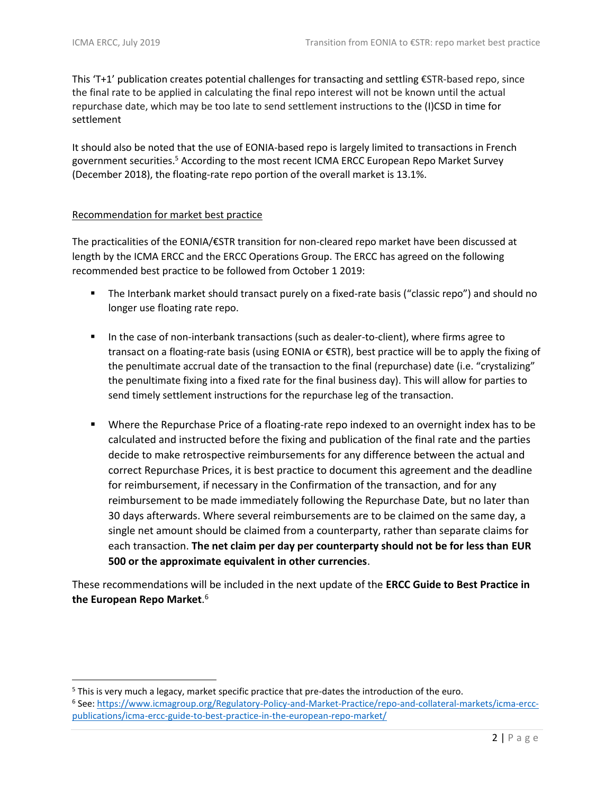$\overline{a}$ 

This 'T+1' publication creates potential challenges for transacting and settling €STR-based repo, since the final rate to be applied in calculating the final repo interest will not be known until the actual repurchase date, which may be too late to send settlement instructions to the (I)CSD in time for settlement

It should also be noted that the use of EONIA-based repo is largely limited to transactions in French government securities.<sup>5</sup> According to the most recent ICMA ERCC European Repo Market Survey (December 2018), the floating-rate repo portion of the overall market is 13.1%.

#### Recommendation for market best practice

The practicalities of the EONIA/€STR transition for non-cleared repo market have been discussed at length by the ICMA ERCC and the ERCC Operations Group. The ERCC has agreed on the following recommended best practice to be followed from October 1 2019:

- The Interbank market should transact purely on a fixed-rate basis ("classic repo") and should no longer use floating rate repo.
- In the case of non-interbank transactions (such as dealer-to-client), where firms agree to transact on a floating-rate basis (using EONIA or €STR), best practice will be to apply the fixing of the penultimate accrual date of the transaction to the final (repurchase) date (i.e. "crystalizing" the penultimate fixing into a fixed rate for the final business day). This will allow for parties to send timely settlement instructions for the repurchase leg of the transaction.
- Where the Repurchase Price of a floating-rate repo indexed to an overnight index has to be calculated and instructed before the fixing and publication of the final rate and the parties decide to make retrospective reimbursements for any difference between the actual and correct Repurchase Prices, it is best practice to document this agreement and the deadline for reimbursement, if necessary in the Confirmation of the transaction, and for any reimbursement to be made immediately following the Repurchase Date, but no later than 30 days afterwards. Where several reimbursements are to be claimed on the same day, a single net amount should be claimed from a counterparty, rather than separate claims for each transaction. **The net claim per day per counterparty should not be for less than EUR 500 or the approximate equivalent in other currencies**.

These recommendations will be included in the next update of the **ERCC Guide to Best Practice in the European Repo Market**. 6

<sup>5</sup> This is very much a legacy, market specific practice that pre-dates the introduction of the euro.

<sup>6</sup> See: [https://www.icmagroup.org/Regulatory-Policy-and-Market-Practice/repo-and-collateral-markets/icma-ercc](https://www.icmagroup.org/Regulatory-Policy-and-Market-Practice/repo-and-collateral-markets/icma-ercc-publications/icma-ercc-guide-to-best-practice-in-the-european-repo-market/)[publications/icma-ercc-guide-to-best-practice-in-the-european-repo-market/](https://www.icmagroup.org/Regulatory-Policy-and-Market-Practice/repo-and-collateral-markets/icma-ercc-publications/icma-ercc-guide-to-best-practice-in-the-european-repo-market/)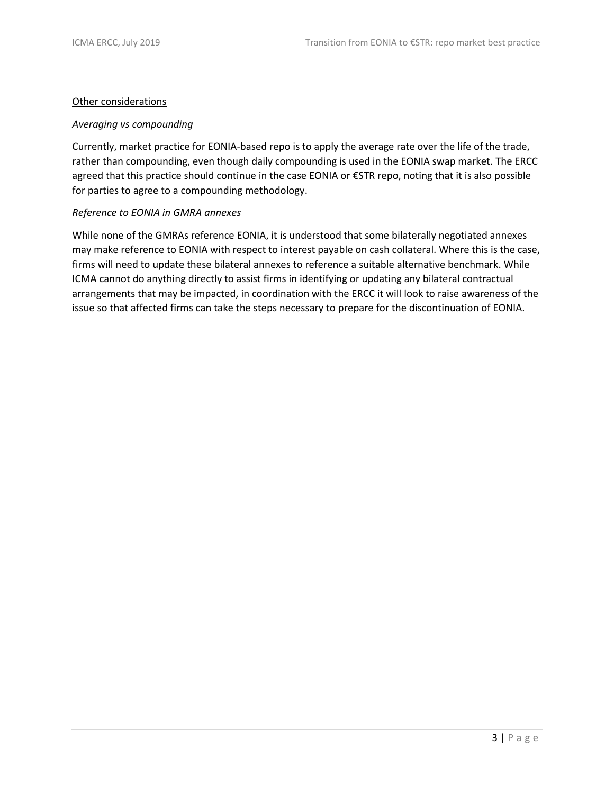#### Other considerations

### *Averaging vs compounding*

Currently, market practice for EONIA-based repo is to apply the average rate over the life of the trade, rather than compounding, even though daily compounding is used in the EONIA swap market. The ERCC agreed that this practice should continue in the case EONIA or €STR repo, noting that it is also possible for parties to agree to a compounding methodology.

### *Reference to EONIA in GMRA annexes*

While none of the GMRAs reference EONIA, it is understood that some bilaterally negotiated annexes may make reference to EONIA with respect to interest payable on cash collateral. Where this is the case, firms will need to update these bilateral annexes to reference a suitable alternative benchmark. While ICMA cannot do anything directly to assist firms in identifying or updating any bilateral contractual arrangements that may be impacted, in coordination with the ERCC it will look to raise awareness of the issue so that affected firms can take the steps necessary to prepare for the discontinuation of EONIA.